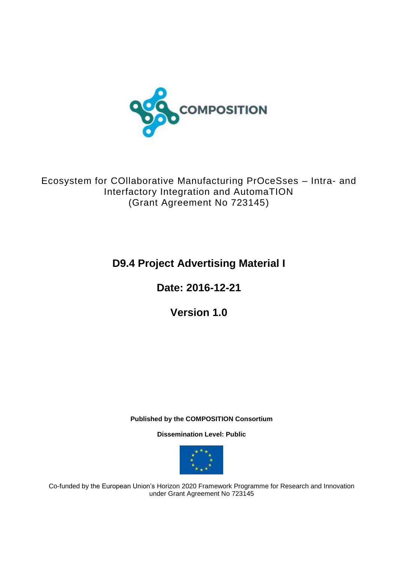

Ecosystem for COllaborative Manufacturing PrOceSses – Intra- and Interfactory Integration and AutomaTION (Grant Agreement No 723145)

# **D9.4 Project Advertising Material I**

**Date: 2016-12-21**

**Version 1.0**

**Published by the COMPOSITION Consortium** 

**Dissemination Level: Public**



Co-funded by the European Union's Horizon 2020 Framework Programme for Research and Innovation under Grant Agreement No 723145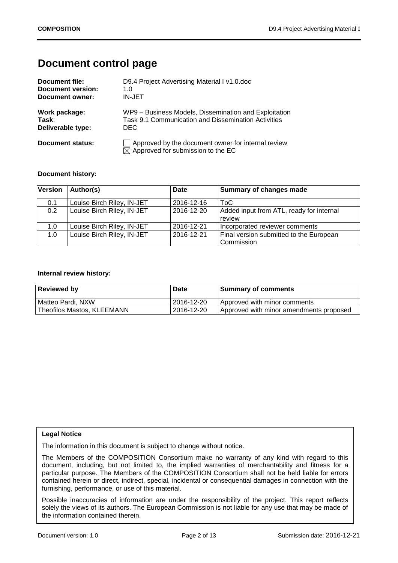# **Document control page**

| Document file:    | D9.4 Project Advertising Material I v1.0.doc                                                               |
|-------------------|------------------------------------------------------------------------------------------------------------|
| Document version: | 1. $\Omega$                                                                                                |
| Document owner:   | <b>IN-JET</b>                                                                                              |
| Work package:     | WP9 - Business Models, Dissemination and Exploitation                                                      |
| Task:             | Task 9.1 Communication and Dissemination Activities                                                        |
| Deliverable type: | DEC.                                                                                                       |
| Document status:  | $\Box$ Approved by the document owner for internal review<br>$\boxtimes$ Approved for submission to the EC |

### **Document history:**

| <b>Version</b> | Author(s)                  | Date       | Summary of changes made                  |
|----------------|----------------------------|------------|------------------------------------------|
| 0.1            | Louise Birch Riley, IN-JET | 2016-12-16 | ToC                                      |
| 0.2            | Louise Birch Riley, IN-JET | 2016-12-20 | Added input from ATL, ready for internal |
|                |                            |            | review                                   |
| 1.0            | Louise Birch Riley, IN-JET | 2016-12-21 | Incorporated reviewer comments           |
| 1.0            | Louise Birch Riley, IN-JET | 2016-12-21 | Final version submitted to the European  |
|                |                            |            | Commission                               |

### **Internal review history:**

| <b>Reviewed by</b>         | <b>Date</b> | <b>Summary of comments</b>              |
|----------------------------|-------------|-----------------------------------------|
| Matteo Pardi, NXW          | 2016-12-20  | Approved with minor comments            |
| Theofilos Mastos, KLEEMANN | 2016-12-20  | Approved with minor amendments proposed |

### **Legal Notice**

The information in this document is subject to change without notice.

The Members of the COMPOSITION Consortium make no warranty of any kind with regard to this document, including, but not limited to, the implied warranties of merchantability and fitness for a particular purpose. The Members of the COMPOSITION Consortium shall not be held liable for errors contained herein or direct, indirect, special, incidental or consequential damages in connection with the furnishing, performance, or use of this material.

Possible inaccuracies of information are under the responsibility of the project. This report reflects the information contained therein. **Executive Summary 2006** solely the views of its authors. The European Commission is not liable for any use that may be made of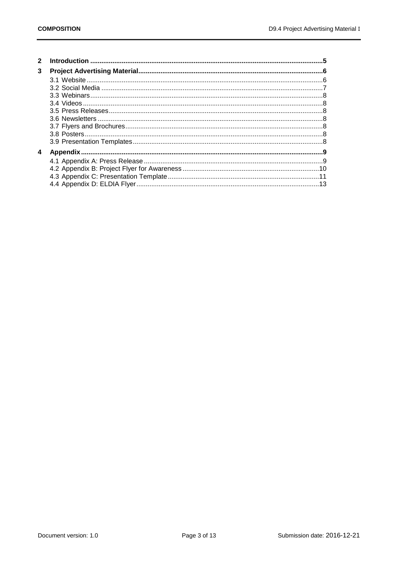| 3 |  |
|---|--|
|   |  |
|   |  |
|   |  |
|   |  |
|   |  |
|   |  |
|   |  |
|   |  |
|   |  |
| 4 |  |
|   |  |
|   |  |
|   |  |
|   |  |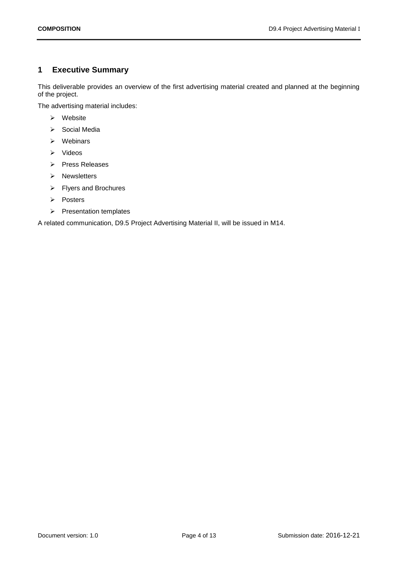# <span id="page-3-0"></span>**1 Executive Summary**

This deliverable provides an overview of the first advertising material created and planned at the beginning of the project.

The advertising material includes:

- ➢ Website
- ➢ Social Media
- ➢ Webinars
- ➢ Videos
- ➢ Press Releases
- ➢ Newsletters
- ➢ Flyers and Brochures
- ➢ Posters
- ➢ Presentation templates

A related communication, D9.5 Project Advertising Material II, will be issued in M14.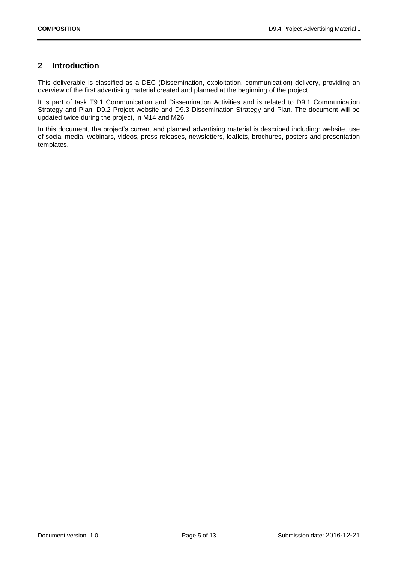# <span id="page-4-0"></span>**2 Introduction**

This deliverable is classified as a DEC (Dissemination, exploitation, communication) delivery, providing an overview of the first advertising material created and planned at the beginning of the project.

It is part of task T9.1 Communication and Dissemination Activities and is related to D9.1 Communication Strategy and Plan, D9.2 Project website and D9.3 Dissemination Strategy and Plan. The document will be updated twice during the project, in M14 and M26.

In this document, the project's current and planned advertising material is described including: website, use of social media, webinars, videos, press releases, newsletters, leaflets, brochures, posters and presentation templates.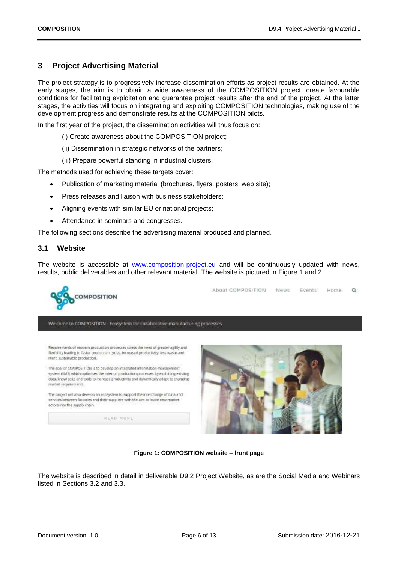# <span id="page-5-0"></span>**3 Project Advertising Material**

The project strategy is to progressively increase dissemination efforts as project results are obtained. At the early stages, the aim is to obtain a wide awareness of the COMPOSITION project, create favourable conditions for facilitating exploitation and guarantee project results after the end of the project. At the latter stages, the activities will focus on integrating and exploiting COMPOSITION technologies, making use of the development progress and demonstrate results at the COMPOSITION pilots.

In the first year of the project, the dissemination activities will thus focus on:

- (i) Create awareness about the COMPOSITION project;
- (ii) Dissemination in strategic networks of the partners;
- (iii) Prepare powerful standing in industrial clusters.

The methods used for achieving these targets cover:

- Publication of marketing material (brochures, flyers, posters, web site);
- Press releases and liaison with business stakeholders;
- Aligning events with similar EU or national projects;
- Attendance in seminars and congresses.

The following sections describe the advertising material produced and planned.

### <span id="page-5-1"></span>**3.1 Website**

The website is accessible at [www.composition-project.eu](http://www.composition-project.eu/) and will be continuously updated with news, results, public deliverables and other relevant material. The website is pictured in Figure 1 and 2.



**Figure 1: COMPOSITION website – front page**

The website is described in detail in deliverable D9.2 Project Website, as are the Social Media and Webinars listed in Sections [3.2](#page-6-0) and [3.3.](#page-7-0)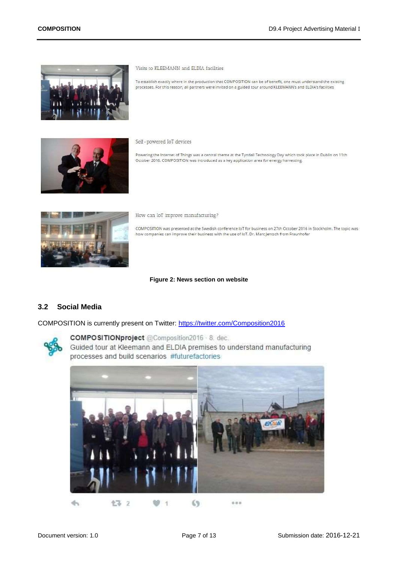

Visits to KLEEMANN and ELDIA facilities

To establish exactly where in the production that COMPOSITION can be of benefit, one must understand the existing processes. For this reason, all partners were invited on a guided tour around KLEEMANN's and ELDIA's facilities



Self-powered IoT devices

Powering the Internet of Things was a central theme at the Tyndall Technology Day which took place in Dublin on 11th October 2016. COMPOSITION was introduced as a key application area for energy harvesting.



How can IoT improve manufacturing?

COMPOSITION was presented at the Swedish conference IoT for business on 27th October 2016 in Stockholm. The topic was how companies can improve their business with the use of IoT. Dr. Marc Jentsch from Fraunhofer

**Figure 2: News section on website**

# <span id="page-6-0"></span>**3.2 Social Media**

COMPOSITION is currently present on Twitter:<https://twitter.com/Composition2016>



COMPOSITIONproject @Composition2016 8. dec. Guided tour at Kleemann and ELDIA premises to understand manufacturing processes and build scenarios #futurefactories

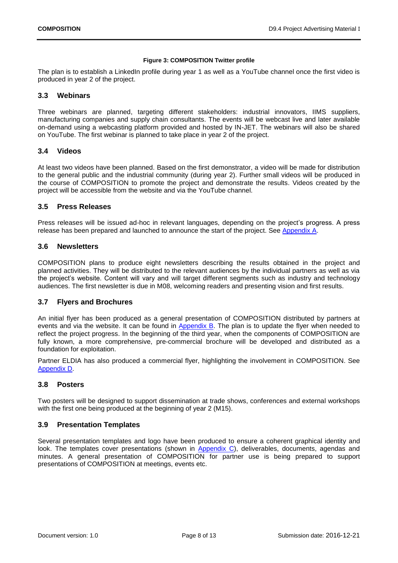### **Figure 3: COMPOSITION Twitter profile**

The plan is to establish a LinkedIn profile during year 1 as well as a YouTube channel once the first video is produced in year 2 of the project.

## <span id="page-7-0"></span>**3.3 Webinars**

Three webinars are planned, targeting different stakeholders: industrial innovators, IIMS suppliers, manufacturing companies and supply chain consultants. The events will be webcast live and later available on-demand using a webcasting platform provided and hosted by IN-JET. The webinars will also be shared on YouTube. The first webinar is planned to take place in year 2 of the project.

# <span id="page-7-1"></span>**3.4 Videos**

At least two videos have been planned. Based on the first demonstrator, a video will be made for distribution to the general public and the industrial community (during year 2). Further small videos will be produced in the course of COMPOSITION to promote the project and demonstrate the results. Videos created by the project will be accessible from the website and via the YouTube channel.

# <span id="page-7-2"></span>**3.5 Press Releases**

Press releases will be issued ad-hoc in relevant languages, depending on the project's progress. A press release has been prepared and launched to announce the start of the project. See [Appendix A.](#page-8-1)

## <span id="page-7-3"></span>**3.6 Newsletters**

COMPOSITION plans to produce eight newsletters describing the results obtained in the project and planned activities. They will be distributed to the relevant audiences by the individual partners as well as via the project's website. Content will vary and will target different segments such as industry and technology audiences. The first newsletter is due in M08, welcoming readers and presenting vision and first results.

## <span id="page-7-4"></span>**3.7 Flyers and Brochures**

An initial flyer has been produced as a general presentation of COMPOSITION distributed by partners at events and via the website. It can be found in [Appendix B.](#page-9-0) The plan is to update the flyer when needed to reflect the project progress. In the beginning of the third year, when the components of COMPOSITION are fully known, a more comprehensive, pre-commercial brochure will be developed and distributed as a foundation for exploitation.

Partner ELDIA has also produced a commercial flyer, highlighting the involvement in COMPOSITION. See [Appendix D.](#page-12-0)

# <span id="page-7-5"></span>**3.8 Posters**

Two posters will be designed to support dissemination at trade shows, conferences and external workshops with the first one being produced at the beginning of year 2 (M15).

# <span id="page-7-6"></span>**3.9 Presentation Templates**

Several presentation templates and logo have been produced to ensure a coherent graphical identity and look. The templates cover presentations (shown in [Appendix C\)](#page-10-0), deliverables, documents, agendas and minutes. A general presentation of COMPOSITION for partner use is being prepared to support presentations of COMPOSITION at meetings, events etc.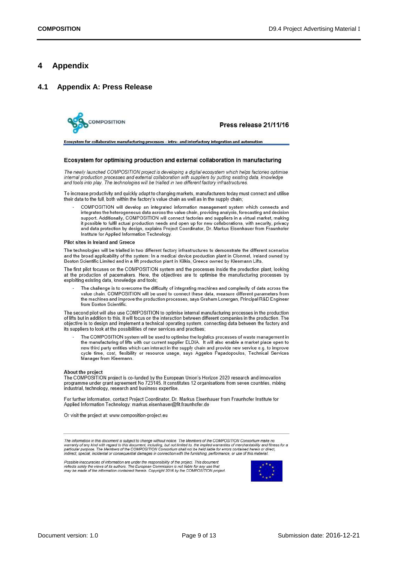# <span id="page-8-0"></span>**4 Appendix**

### <span id="page-8-1"></span>**4.1 Appendix A: Press Release**



Press release 21/11/16

Ecosystem for collaborative manufacturing processes - intra- and interfactory integration and automation

#### Ecosystem for optimising production and external collaboration in manufacturing

The newly launched COMPOSITION project is developing a digital ecosystem which helps factories optimise internal production processes and external collaboration with suppliers by putting existing data, knowledge<br>and tools into play. The technologies will be trialled in two different factory infrastructures.

To increase productivity and quickly adapt to changing markets, manufacturers today must connect and utilise their data to the full, both within the factory's value chain as well as in the supply chain;

COMPOSITION will develop an integrated information management system which connects and integrates the heterogeneous data across the value chain, providing analysis, forecasting and decision support. Additionally, COMPOSITION will connect factories and suppliers in a virtual market, making it possible to fulfil actual production needs and open up for new collaborations, with security, privacy and data protection by design, explains Project Coordinator, Dr. Markus Eisenhauer from Fraunhofer Institute for Applied Information Technology.

#### Pilot sites in Ireland and Greece

The technologies will be trialled in two different factory infrastructures to demonstrate the different scenarios and the broad applicability of the system: In a medical device production plant in Clonmel, Ireland owned by Boston Scientific Limited and in a lift production plant in Kilkis, Greece owned by Kleemann Lifts.

The first pilot focuses on the COMPOSITION system and the processes inside the production plant, looking at the production of pacemakers. Here, the objectives are to optimise the manufacturing processes by exploiting existing data, knowledge and tools;

The challenge is to overcome the difficulty of integrating machines and complexity of data across the value chain. COMPOSITION will be used to connect these data, measure different parameters from the machines and improve the production processes, says Graham Lonergan, Principal R&D Engineer from Boston Scientific

The second pilot will also use COMPOSITION to optimise internal manufacturing processes in the production of lifts but in addition to this, it will focus on the interaction between different companies in the production. The objective is to design and implement a technical operating system, connecting data between the factory and its suppliers to look at the possibilities of new services and practises;

The COMPOSITION system will be used to optimise the logistics processes of waste management in the manufacturing of lifts with our current supplier ELDIA. It will also enable a market place open to<br>new third party entities which can interact in the supply chain and provide new service e.g. to improve cycle time, cost, flexibility or resource usage, says Aggelos Papadopoulos, Technical Services Manager from Kleemann.

#### About the project

The COMPOSITION project is co-funded by the European Union's Horizon 2020 research and innovation programme under grant agreement No 723145. It constitutes 12 organisations from seven countries, mixing industrial, technology, research and business expertise.

For further information, contact Project Coordinator, Dr. Markus Eisenhauer from Fraunhofer Institute for Applied Information Technology: markus.eisenhauer@fit.fraunhofer.de

Or visit the project at: www.composition-project.eu

The information in this document is subject to change without notice. The Members of the COMPOSITION Consortium make no<br>warranty of any kind with regard to this document, including, but not limited to, the implied warranti indirect, special, incidental or consequential damages in connection with the furnishing, performance, or use of this material.

Possible inaccuracies of information are under the responsibility of the project. This document reflects solely the views of its authors. The European Commission is not liable for any use that<br>may be made of the information contained therein. Copyright 2016 by the COMPOSITION project.

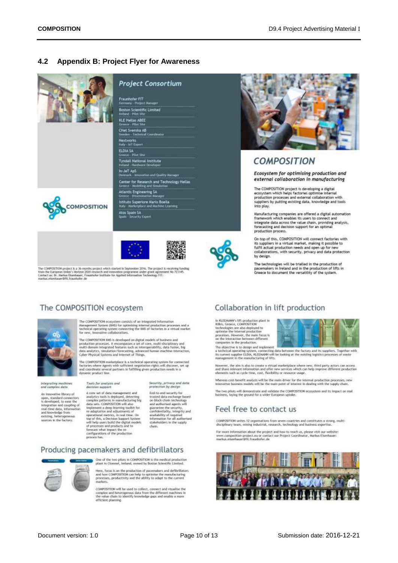#### <span id="page-9-0"></span> $4.2$ **Appendix B: Project Flyer for Awareness**



The COMPOSITION project is a 36-months project which started in September 2016. The project is receiving funding<br>from the European Union's Horizon 2020 research and loop-atlos programme under grant agreement Ro 723145.<br>Con

# The COMPOSITION ecosystem



The COMPOSITION ecosystem consists of an integrated information<br>Management System (IM6) for optimizing internal production processes and a<br>sectionsal operating system correcting the IM6 of factories in a virtual market<br>fo

The COMPOSITION BHS is developed on digital models of business and<br>production processes. It encomposites a set of core, multi-disciplinary and<br>multi-domain integrated foctors: such as intersoperability, state for<br>low disk

The CONPOSITION market<br>place is a technical operating system for connected factories where<br> $\lambda_\text{QPPS}$  with sufficient negotiation rights will discover, set up<br>and coordinate several partners in fulfilling given productio

integrating machines<br>and complex data

An innovative library of An imavable library of<br>open, standard connectors<br>is developed, to ease the<br>integration and coupling of<br>read chee data, information<br>and knowledge from<br>existing, heterogeneous<br>sources in the factory. Tools for analysis and decis et support

Security, privacy and data<br>protection by design

A core set of data management and analytics tools is deployed, detecting<br>complex patterns in manufacturing big<br>data sets. COMPOSITION will also. data sies, COMPOSITION will also<br>happent a deep learning toolbil for irredaptation and adjustments of<br>experiments of experiments of experiments of the spectra of<br>the signal metrics, in real times Can tape of this, a Decis

End-to-end wcurity for trusted data exchange based<br>on block-chain technology<br>and authorised agents will are automated aparts was<br>confidentially, integrity and<br>availability of required<br>information for all authorized<br>stakebolders in the supply chain.

# Producing pacemakers and defibrillators



One of the two pilots in COMPOSITION is the medical production<br>plant in Clonmel, Ireland, owned by Boston Scientific Limited.

Here, focus is on the production of pacemakers and deflicible<br>tora and how CONPOSITION can help to optimise the manufacturing processes, productivity and the additiv to adapt to the current mathets.

COMPOSITION will be used to collect, connect and visualise the<br>complex and heterogenous data from the different machines in<br>the value cluim to identify impededge gaps and enable a more efficient planning



# **COMPOSITION**

Ecosystem for optimising production and external collaboration in manufacturing

The COMPOSITION project is developing a digital<br>ecosystem which helps factories optimise internal<br>production processes and external collaboration with suppliers by putting existing data, knowledge and tools

Manufacturing companies are offered a digital automation<br>framework which enables its users to connect and<br>integrate data across the value chain, providing analysis,<br>forecasting and decision support for an optimal<br>productio

On top of this, COMPOSITION will connect factories with its suppliers in a virtual market, making it possible to<br>fulfil actual production needs and open up for new<br>collaborations, with security, privacy and data protection by design.

The technologies will be trialled in the production of<br>pacemakers in Ireland and in the production of lifts in<br>Greece to document the versatility of the system.

# Collaboration in lift production

In RLEEMANN's UIT production plant in<br>Killes, Greece, CD6FOSFION<br>technologies are also deployed to<br>quivries the internal production<br>provesses. However, the main focus is<br>on the internation between different<br>for the intera companies in the production



composes as the production.<br>The objective is to design and implement<br>a technical operating system, connecting data between the factory and its suppliers. Together with<br>its correct suggler EUDA, ALEDARN will be looking at t

However, the aim is also to create a virtual marketplace where new, third party actors can access<br>and share relevant information and offer new services which can belp improve different production<br>elements such as cycle tim

Whereas cost-benefit analysis will be the main driver for the internal production processes, new<br>innovative business models will be the main point of interest in dealing with the supply chain.

The two pilots will demonstrate and validate the COMPOSITION ecosystem and its impact on real business, laying the ground for a wider European uptake.

# Feel free to contact us

COMPOSITION unites 12 organisations from seven countries and constitutes a strong, multi-disciplinary toans, mixing industrial, research, technology and business expertise.

For more information about the project and how to reach us, please visit our website:<br>www.composition-project.ou or contract our Project Coordinator, Markos Eisenhauer:<br>markos.ebenhauer@fit.frauchofer.de

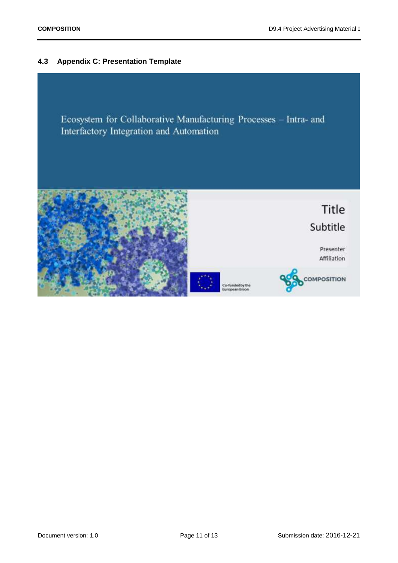# <span id="page-10-0"></span>**4.3 Appendix C: Presentation Template**

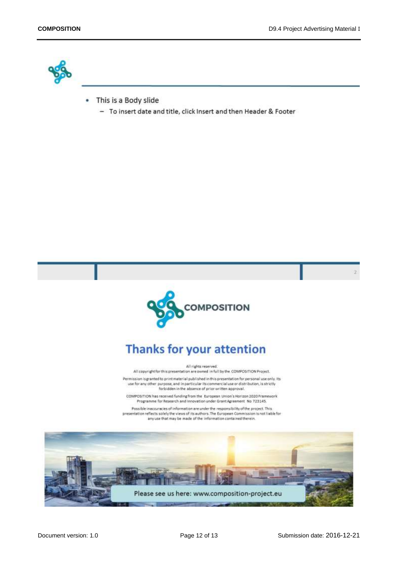

- This is a Body slide ٠
	- To insert date and title, click Insert and then Header & Footer



# **Thanks for your attention**

#### All rights reserved.

All copyright for this presentation are owned in full by the COMPOSITION Project. Permission is granted to print material published in this presentation for personal use only. Its use for any other purpose, and in particular its commercial use or distribution, is strictly forbidden in the absence of prior written approval.

COMPOSITION has received funding from the European Union's Horizon 2020 Framework Programme for Research and Innovation under Grant Agreement No 723145.

Possible inaccuracies of information are under the responsibility of the project. This presentation reflects solely the views of its authors. The European Commission is not liable for any use that may be made of the information contained therein.